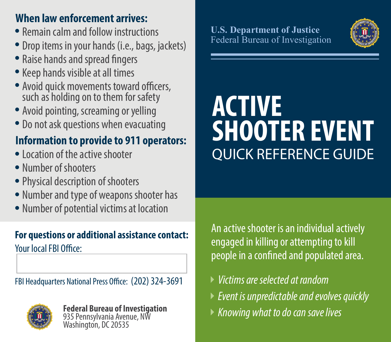### **When law enforcement arrives:**

- Remain calm and follow instructions
- Drop items in your hands (i.e., bags, jackets)
- Raise hands and spread fingers
- Keep hands visible at all times
- Avoid quick movements toward officers, such as holding on to them for safety
- Avoid pointing, screaming or yelling
- Do not ask questions when evacuating

# **Information to provide to 911 operators:**

- Location of the active shooter
- Number of shooters
- Physical description of shooters
- Number and type of weapons shooter has
- Number of potential victims at location

# **For questions or additional assistance contact:**

Your local FBI Office:

FBI Headquarters National Press Office: (202) 324-3691



**Federal Bureau of Investigation** 935 Pennsylvania Avenue, NW Washington, DC 20535

#### **U.S. Department of Justice** Federal Bureau of Investigation



# **ACTIVE SHOOTER EVENT**  QUICK REFERENCE GUIDE

An active shooter is an individual actively engaged in killing or attempting to kill people in a confined and populated area.

- *Victims are selected at random*
- *Event is unpredictable and evolves quickly*
- *Knowing what to do can save lives*